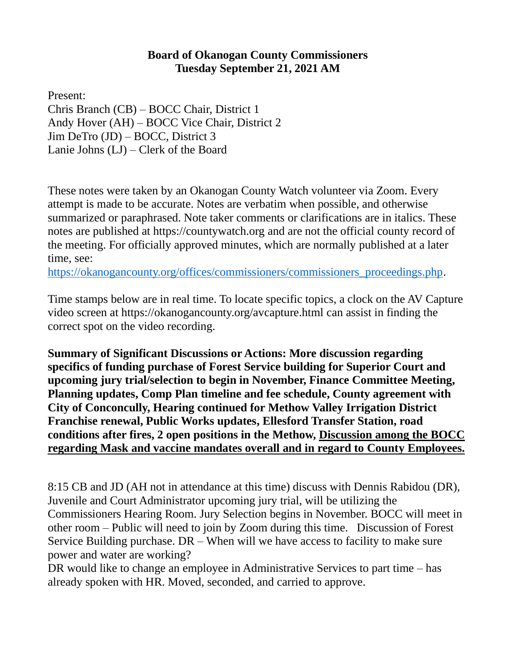## **Board of Okanogan County Commissioners Tuesday September 21, 2021 AM**

Present:

Chris Branch (CB) – BOCC Chair, District 1 Andy Hover (AH) – BOCC Vice Chair, District 2 Jim DeTro (JD) – BOCC, District 3 Lanie Johns (LJ) – Clerk of the Board

These notes were taken by an Okanogan County Watch volunteer via Zoom. Every attempt is made to be accurate. Notes are verbatim when possible, and otherwise summarized or paraphrased. Note taker comments or clarifications are in italics. These notes are published at [https://countywatch.org](https://countywatch.org/) and are not the official county record of the meeting. For officially approved minutes, which are normally published at a later time, see:

[https://okanogancounty.org/offices/commissioners/commissioners\\_proceedings.php.](https://okanogancounty.org/offices/commissioners/commissioners_proceedings.php)

Time stamps below are in real time. To locate specific topics, a clock on the AV Capture video screen at<https://okanogancounty.org/avcapture.html> can assist in finding the correct spot on the video recording.

**Summary of Significant Discussions or Actions: More discussion regarding specifics of funding purchase of Forest Service building for Superior Court and upcoming jury trial/selection to begin in November, Finance Committee Meeting, Planning updates, Comp Plan timeline and fee schedule, County agreement with City of Conconcully, Hearing continued for Methow Valley Irrigation District Franchise renewal, Public Works updates, Ellesford Transfer Station, road conditions after fires, 2 open positions in the Methow, Discussion among the BOCC regarding Mask and vaccine mandates overall and in regard to County Employees.**

8:15 CB and JD (AH not in attendance at this time) discuss with Dennis Rabidou (DR), Juvenile and Court Administrator upcoming jury trial, will be utilizing the Commissioners Hearing Room. Jury Selection begins in November. BOCC will meet in other room – Public will need to join by Zoom during this time. Discussion of Forest Service Building purchase. DR – When will we have access to facility to make sure power and water are working?

DR would like to change an employee in Administrative Services to part time – has already spoken with HR. Moved, seconded, and carried to approve.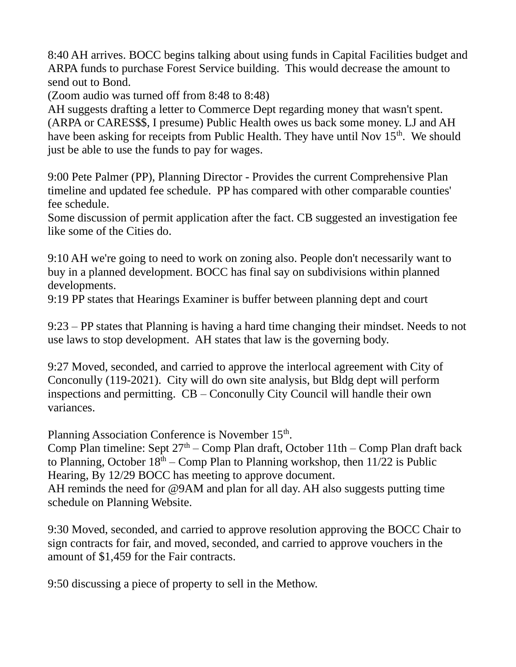8:40 AH arrives. BOCC begins talking about using funds in Capital Facilities budget and ARPA funds to purchase Forest Service building. This would decrease the amount to send out to Bond.

(Zoom audio was turned off from 8:48 to 8:48)

AH suggests drafting a letter to Commerce Dept regarding money that wasn't spent. (ARPA or CARES\$\$, I presume) Public Health owes us back some money. LJ and AH have been asking for receipts from Public Health. They have until Nov  $15<sup>th</sup>$ . We should just be able to use the funds to pay for wages.

9:00 Pete Palmer (PP), Planning Director - Provides the current Comprehensive Plan timeline and updated fee schedule. PP has compared with other comparable counties' fee schedule.

Some discussion of permit application after the fact. CB suggested an investigation fee like some of the Cities do.

9:10 AH we're going to need to work on zoning also. People don't necessarily want to buy in a planned development. BOCC has final say on subdivisions within planned developments.

9:19 PP states that Hearings Examiner is buffer between planning dept and court

9:23 – PP states that Planning is having a hard time changing their mindset. Needs to not use laws to stop development. AH states that law is the governing body.

9:27 Moved, seconded, and carried to approve the interlocal agreement with City of Conconully (119-2021). City will do own site analysis, but Bldg dept will perform inspections and permitting. CB – Conconully City Council will handle their own variances.

Planning Association Conference is November 15<sup>th</sup>.

Comp Plan timeline: Sept  $27<sup>th</sup>$  – Comp Plan draft, October 11th – Comp Plan draft back to Planning, October  $18<sup>th</sup> - Comp$  Plan to Planning workshop, then  $11/22$  is Public Hearing, By 12/29 BOCC has meeting to approve document. AH reminds the need for @9AM and plan for all day. AH also suggests putting time schedule on Planning Website.

9:30 Moved, seconded, and carried to approve resolution approving the BOCC Chair to sign contracts for fair, and moved, seconded, and carried to approve vouchers in the amount of \$1,459 for the Fair contracts.

9:50 discussing a piece of property to sell in the Methow.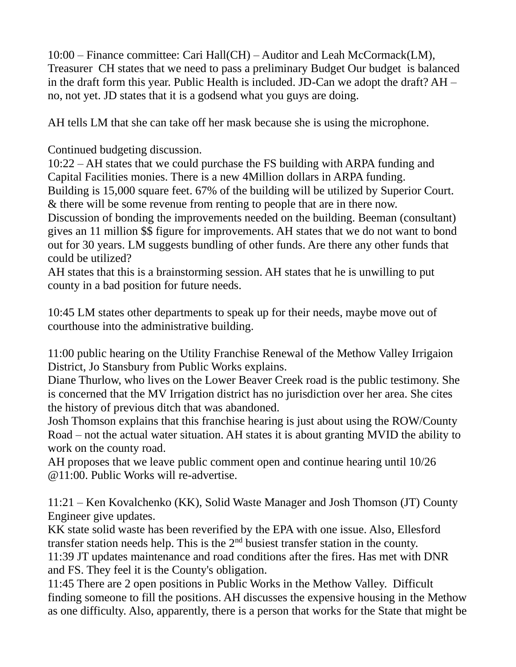10:00 – Finance committee: Cari Hall(CH) – Auditor and Leah McCormack(LM), Treasurer CH states that we need to pass a preliminary Budget Our budget is balanced in the draft form this year. Public Health is included. JD-Can we adopt the draft? AH – no, not yet. JD states that it is a godsend what you guys are doing.

AH tells LM that she can take off her mask because she is using the microphone.

Continued budgeting discussion.

10:22 – AH states that we could purchase the FS building with ARPA funding and Capital Facilities monies. There is a new 4Million dollars in ARPA funding. Building is 15,000 square feet. 67% of the building will be utilized by Superior Court.

& there will be some revenue from renting to people that are in there now.

Discussion of bonding the improvements needed on the building. Beeman (consultant) gives an 11 million \$\$ figure for improvements. AH states that we do not want to bond out for 30 years. LM suggests bundling of other funds. Are there any other funds that could be utilized?

AH states that this is a brainstorming session. AH states that he is unwilling to put county in a bad position for future needs.

10:45 LM states other departments to speak up for their needs, maybe move out of courthouse into the administrative building.

11:00 public hearing on the Utility Franchise Renewal of the Methow Valley Irrigaion District, Jo Stansbury from Public Works explains.

Diane Thurlow, who lives on the Lower Beaver Creek road is the public testimony. She is concerned that the MV Irrigation district has no jurisdiction over her area. She cites the history of previous ditch that was abandoned.

Josh Thomson explains that this franchise hearing is just about using the ROW/County Road – not the actual water situation. AH states it is about granting MVID the ability to work on the county road.

AH proposes that we leave public comment open and continue hearing until 10/26 @11:00. Public Works will re-advertise.

11:21 – Ken Kovalchenko (KK), Solid Waste Manager and Josh Thomson (JT) County Engineer give updates.

KK state solid waste has been reverified by the EPA with one issue. Also, Ellesford transfer station needs help. This is the  $2<sup>nd</sup>$  busiest transfer station in the county. 11:39 JT updates maintenance and road conditions after the fires. Has met with DNR and FS. They feel it is the County's obligation.

11:45 There are 2 open positions in Public Works in the Methow Valley. Difficult finding someone to fill the positions. AH discusses the expensive housing in the Methow as one difficulty. Also, apparently, there is a person that works for the State that might be